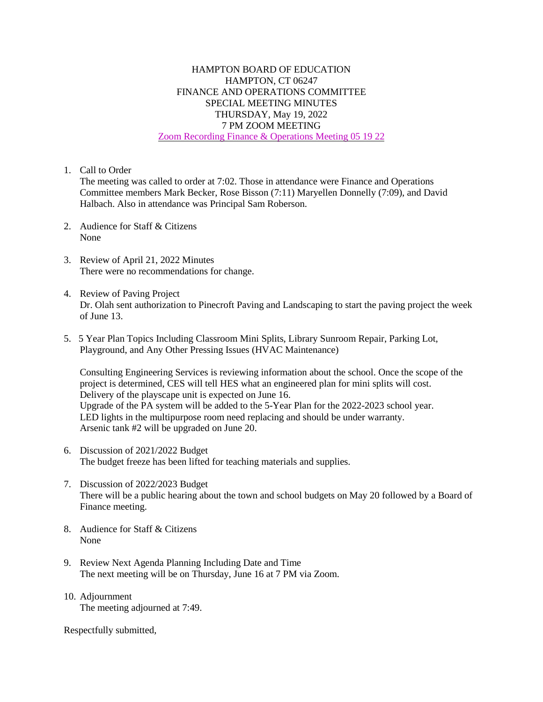## HAMPTON BOARD OF EDUCATION HAMPTON, CT 06247 FINANCE AND OPERATIONS COMMITTEE SPECIAL MEETING MINUTES THURSDAY, May 19, 2022 7 PM ZOOM MEETING Zoom Recording Finance & [Operations](https://drive.google.com/file/d/1lMhnbmhIhfxJFBWD-gnz0UoeNi41B-Y3/view?usp=sharing) Meeting 05 19 22

1. Call to Order

The meeting was called to order at 7:02. Those in attendance were Finance and Operations Committee members Mark Becker, Rose Bisson (7:11) Maryellen Donnelly (7:09), and David Halbach. Also in attendance was Principal Sam Roberson.

- 2. Audience for Staff & Citizens None
- 3. Review of April 21, 2022 Minutes There were no recommendations for change.
- 4. Review of Paving Project Dr. Olah sent authorization to Pinecroft Paving and Landscaping to start the paving project the week of June 13.
- 5. 5 Year Plan Topics Including Classroom Mini Splits, Library Sunroom Repair, Parking Lot, Playground, and Any Other Pressing Issues (HVAC Maintenance)

Consulting Engineering Services is reviewing information about the school. Once the scope of the project is determined, CES will tell HES what an engineered plan for mini splits will cost. Delivery of the playscape unit is expected on June 16. Upgrade of the PA system will be added to the 5-Year Plan for the 2022-2023 school year. LED lights in the multipurpose room need replacing and should be under warranty. Arsenic tank #2 will be upgraded on June 20.

- 6. Discussion of 2021/2022 Budget The budget freeze has been lifted for teaching materials and supplies.
- 7. Discussion of 2022/2023 Budget There will be a public hearing about the town and school budgets on May 20 followed by a Board of Finance meeting.
- 8. Audience for Staff & Citizens None
- 9. Review Next Agenda Planning Including Date and Time The next meeting will be on Thursday, June 16 at 7 PM via Zoom.
- 10. Adjournment The meeting adjourned at 7:49.

Respectfully submitted,